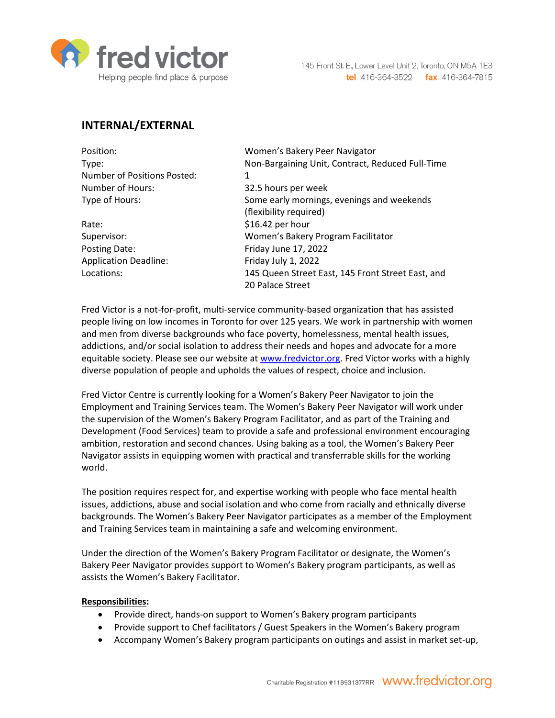

# **INTERNAL/EXTERNAL**

| Position:                          | Women's Bakery Peer Navigator                     |
|------------------------------------|---------------------------------------------------|
| Type:                              | Non-Bargaining Unit, Contract, Reduced Full-Time  |
| <b>Number of Positions Posted:</b> | 1                                                 |
| Number of Hours:                   | 32.5 hours per week                               |
| Type of Hours:                     | Some early mornings, evenings and weekends        |
|                                    | (flexibility required)                            |
| Rate:                              | \$16.42 per hour                                  |
| Supervisor:                        | Women's Bakery Program Facilitator                |
| Posting Date:                      | Friday June 17, 2022                              |
| <b>Application Deadline:</b>       | Friday July 1, 2022                               |
| Locations:                         | 145 Queen Street East, 145 Front Street East, and |
|                                    | 20 Palace Street                                  |
|                                    |                                                   |

Fred Victor is a not-for-profit, multi-service community-based organization that has assisted people living on low incomes in Toronto for over 125 years. We work in partnership with women and men from diverse backgrounds who face poverty, homelessness, mental health issues, addictions, and/or social isolation to address their needs and hopes and advocate for a more equitable society. Please see our website at [www.fredvictor.org.](http://www.fredvictor.org/) Fred Victor works with a highly diverse population of people and upholds the values of respect, choice and inclusion.

Fred Victor Centre is currently looking for a Women's Bakery Peer Navigator to join the Employment and Training Services team. The Women's Bakery Peer Navigator will work under the supervision of the Women's Bakery Program Facilitator, and as part of the Training and Development (Food Services) team to provide a safe and professional environment encouraging ambition, restoration and second chances. Using baking as a tool, the Women's Bakery Peer Navigator assists in equipping women with practical and transferrable skills for the working world.

The position requires respect for, and expertise working with people who face mental health issues, addictions, abuse and social isolation and who come from racially and ethnically diverse backgrounds. The Women's Bakery Peer Navigator participates as a member of the Employment and Training Services team in maintaining a safe and welcoming environment.

Under the direction of the Women's Bakery Program Facilitator or designate, the Women's Bakery Peer Navigator provides support to Women's Bakery program participants, as well as assists the Women's Bakery Facilitator.

#### **Responsibilities:**

- Provide direct, hands-on support to Women's Bakery program participants
- Provide support to Chef facilitators / Guest Speakers in the Women's Bakery program
- Accompany Women's Bakery program participants on outings and assist in market set-up,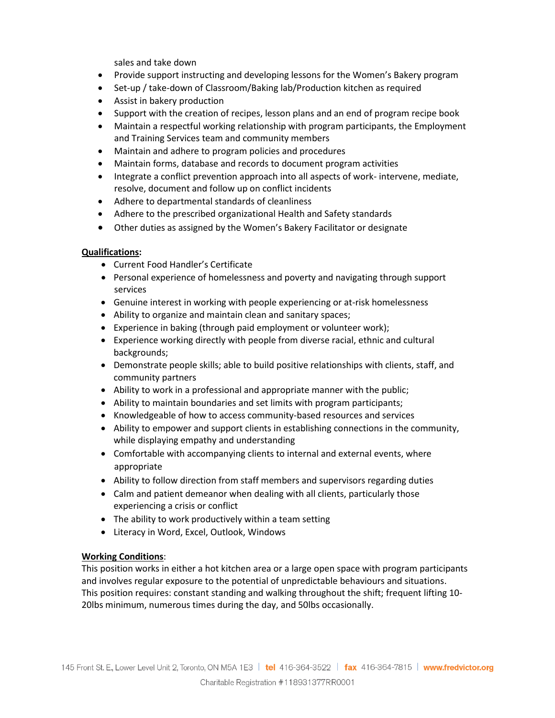sales and take down

- Provide support instructing and developing lessons for the Women's Bakery program
- Set-up / take-down of Classroom/Baking lab/Production kitchen as required
- Assist in bakery production
- Support with the creation of recipes, lesson plans and an end of program recipe book
- Maintain a respectful working relationship with program participants, the Employment and Training Services team and community members
- Maintain and adhere to program policies and procedures
- Maintain forms, database and records to document program activities
- Integrate a conflict prevention approach into all aspects of work- intervene, mediate, resolve, document and follow up on conflict incidents
- Adhere to departmental standards of cleanliness
- Adhere to the prescribed organizational Health and Safety standards
- Other duties as assigned by the Women's Bakery Facilitator or designate

#### **Qualifications:**

- Current Food Handler's Certificate
- Personal experience of homelessness and poverty and navigating through support services
- Genuine interest in working with people experiencing or at-risk homelessness
- Ability to organize and maintain clean and sanitary spaces;
- Experience in baking (through paid employment or volunteer work);
- Experience working directly with people from diverse racial, ethnic and cultural backgrounds;
- Demonstrate people skills; able to build positive relationships with clients, staff, and community partners
- Ability to work in a professional and appropriate manner with the public;
- Ability to maintain boundaries and set limits with program participants;
- Knowledgeable of how to access community-based resources and services
- Ability to empower and support clients in establishing connections in the community, while displaying empathy and understanding
- Comfortable with accompanying clients to internal and external events, where appropriate
- Ability to follow direction from staff members and supervisors regarding duties
- Calm and patient demeanor when dealing with all clients, particularly those experiencing a crisis or conflict
- The ability to work productively within a team setting
- Literacy in Word, Excel, Outlook, Windows

#### **Working Conditions**:

This position works in either a hot kitchen area or a large open space with program participants and involves regular exposure to the potential of unpredictable behaviours and situations. This position requires: constant standing and walking throughout the shift; frequent lifting 10- 20lbs minimum, numerous times during the day, and 50lbs occasionally.